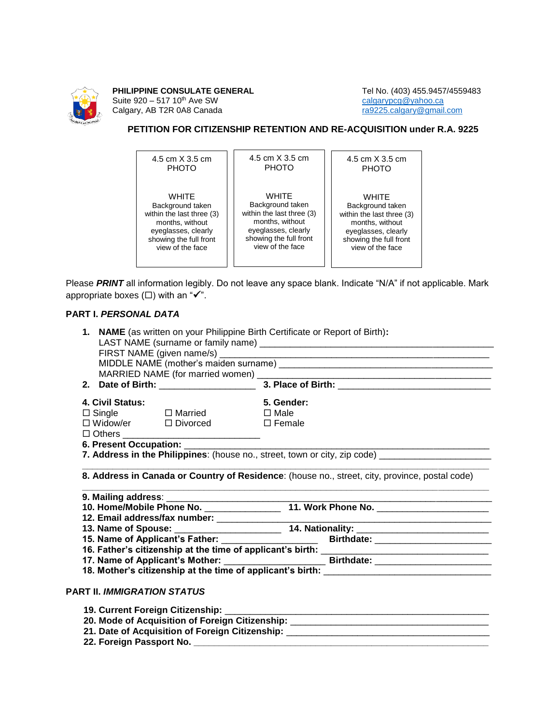

**PHILIPPINE CONSULATE GENERAL** Tel No. (403) 455.9457/4559483<br>Suite 920 – 517 10<sup>th</sup> Ave SW calgarypcg @yahoo.ca Suite 920 – 517 10<sup>th</sup> Ave SW [calgarypcg@yahoo.ca](mailto:calgarypcg@yahoo.ca)<br>
Calgary, AB T2R 0A8 Canada care calgary calgary calgary calgary calgary calgary calgary calgary calgary calgary c Calgary, AB T2R 0A8 Canada

## **PETITION FOR CITIZENSHIP RETENTION AND RE-ACQUISITION under R.A. 9225**

| 4.5 cm X 3.5 cm           | 4.5 cm X 3.5 cm           | 4.5 cm X 3.5 cm           |
|---------------------------|---------------------------|---------------------------|
| <b>PHOTO</b>              | <b>PHOTO</b>              | <b>PHOTO</b>              |
| <b>WHITE</b>              | WHITE                     | <b>WHITE</b>              |
| Background taken          | Background taken          | Background taken          |
| within the last three (3) | within the last three (3) | within the last three (3) |
| months, without           | months, without           | months, without           |
| eyeglasses, clearly       | eyeglasses, clearly       | eyeglasses, clearly       |
| showing the full front    | showing the full front    | showing the full front    |
| view of the face          | view of the face          | view of the face          |

Please *PRINT* all information legibly. Do not leave any space blank. Indicate "N/A" if not applicable. Mark appropriate boxes  $(\square)$  with an " $\checkmark$ ".

## **PART I.** *PERSONAL DATA*

|                                    | 2. Date of Birth: 2008 2. Place of Birth:                                                            |
|------------------------------------|------------------------------------------------------------------------------------------------------|
| 4. Civil Status:                   | 5. Gender:                                                                                           |
| $\Box$ Single $\Box$ Married       | $\Box$ Male                                                                                          |
| □ Widow/er □ Divorced □ Female     |                                                                                                      |
|                                    |                                                                                                      |
|                                    | 7. Address in the Philippines: (house no., street, town or city, zip code) ________________________  |
|                                    |                                                                                                      |
|                                    |                                                                                                      |
|                                    |                                                                                                      |
|                                    |                                                                                                      |
|                                    |                                                                                                      |
|                                    |                                                                                                      |
|                                    |                                                                                                      |
|                                    | 17. Name of Applicant's Mother: __________________________________Birthdate: _______________________ |
|                                    |                                                                                                      |
| <b>PART II. IMMIGRATION STATUS</b> |                                                                                                      |
|                                    |                                                                                                      |

- **21. Date of Acquisition of Foreign Citizenship:** \_\_\_\_\_\_\_\_\_\_\_\_\_\_\_\_\_\_\_\_\_\_\_\_\_\_\_\_\_\_\_\_\_\_\_\_\_\_\_\_
	- **22. Foreign Passport No. \_\_\_\_\_\_\_\_\_\_\_\_\_\_\_\_\_\_\_\_\_\_\_\_\_\_\_\_\_\_\_\_\_\_\_\_\_\_\_\_\_\_\_\_\_\_\_\_\_\_\_\_\_\_\_\_\_\_**